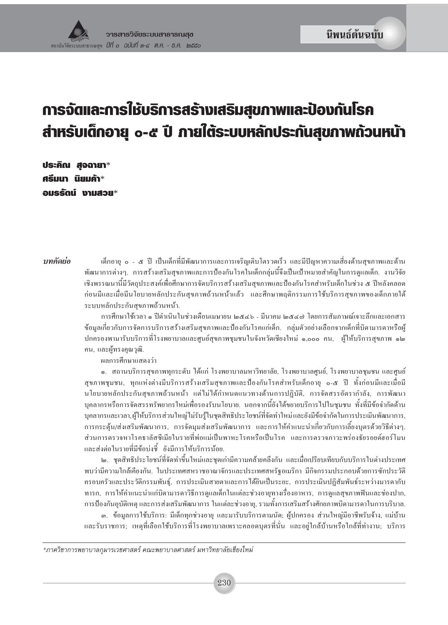# การจัดและการใช้บริการสร้างเสริมสุขภาพและป้องกันโรค สำหรับเด็กอายุ ๐-๕ ปี ภายใต้ระบบหลักประกันสุขภาพถ้วนหน้า

ประคิณ สูจฉายา $*$ ศรีมนา นิยมค้า\* รแรรักม์ ทามสวย\*

าเทคัดย่อ เด็กอายุ ๐ - ๕ ปี เป็นเด็กที่มีพัฒนาการและการเจริญเติบโตรวดเร็ว และมีปัญหาความเสี่ยงด้านสุขภาพและด้าน พัฒนาการต่างๆ. การสร้างเสริมสุขภาพและการป้องกันโรคในเด็กกลุ่มนี้จึงเป็นเป้าหมายสำคัญในการดูแลเด็ก. งานวิจัย ้เชิงพรรณนานี้มีวัตถุประสงค์เพื่อศึกษาการจัดบริการสร้างเสริมสุขภาพและป้องกันโรคสำหรับเด็กในช่วง ๕ ปีหลังคลอด ้ก่อนมีและเมื่อมีนโยบายหลักประกันสุขภาพถ้วนหน้าแล้ว และศึกษาพฤติกรรมการใช้บริการสุขภาพของเด็กภายใต้ ระบบหลักประกันสุขภาพถ้วนหน้า.

> การศึกษาใช้เวลา ๑ ปีคำเนินในช่วงเคือนเมษายน ๒๕๔๖ - มีนาคม ๒๕๔๗ โดยการสัมภาษณ์เจาะลึกและเอกสาร ข้อมูลเกี่ยวกับการจัดการบริการสร้างเสริมสุขภาพและป้องกันโรคแก่เด็ก. กลุ่มตัวอย่างเลือกจากเด็กที่บิดามารดาหรือผู้ ปกครองพามารับบริการที่โรงพยาบาลและศูนย์สุขภาพชุมชนในจังหวัดเชียงใหม่ ๑,๐๐๐ คน, ผู้ให้บริการสุขภาพ ๑๒ คน, และผู้ทรงคุณวุฒิ.

ผลการศึกษาแสดงว่า

๑. สถานบริการสุขภาพทุกระดับ ได้แก่ โรงพยาบาลมหาวิทยาลัย, โรงพยาบาลศูนย์, โรงพยาบาลชุมชน และศูนย์ สุขภาพชุมชน, ทุกแห่งต่างมีบริการสร้างเสริมสุขภาพและป้องกันโรคสำหรับเด็กอายุ ๐-๕ ปี ทั้งก่อนมีและเมื่อมี นโยบายหลักประกันสุขภาพถ้วนหน้า แต่ไม่ได้กำหนดแนวทางด้านการปฏิบัติ, การจัดสรรอัตรากำลัง, การพัฒนา บุคลากรหรือการจัดสรรทรัพยากรใหม่เพื่อรองรับนโยบาย. นอกจากนี้ยังได้ขยายบริการไปในชุมชน ทั้งที่มีข้อจำกัดด้าน ้บุคลากรและเวลา,ผู้ให้บริการส่วนใหญ่ไม่รับรู้ในชุดสิทธิประโยชน์ที่จัดทำใหม่และยังมีข้อจำกัดในการประเมินพัฒนาการ, ึการกระตุ้น/ส่งเสริมพัฒนาการ, การจัดมุมส่งเสริมพัฒนาการ และการให้คำแนะนำเกี่ยวกับการเลี้ยงบุตรด้วยวิธีต่างๆ. ส่วนการตรวจหาโรคธาลัสซีเมียในรายที่พ่อแม่เป็นพาหะโรคหรือเป็นโรค และการตรวจภาวะพร่องธัยรอยด์ฮอร์โมน และส่งต่อในรายที่มีข้อบ่งชี้ ยังมีการให้บริการน้อย.

๒. ชุดสิทธิประโยชน์ที่จัดทำขึ้นใหม่และชุดเก่ามีความคล้ายคลึงกัน และเมื่อเปรียบเทียบกับบริการในต่างประเทศ พบว่ามีความใกล้เคียงกัน. ในประเทศสหราชอาณาจักรและประเทศสหรัฐอเมริกา มีกิจกรรมประกอบด้วยการซักประวัติ ครอบครัวและประวัติกรรมพันฐ์, การประเมินสายตาและการใด้ยินเป็นระยะ, การประเมินปฏิสัมพันธ์ระหว่างมารดากับ ี ทารก, การให้คำแนะนำแก่บิดามารดาวิธีการดูแลเด็กในแต่ละช่วงอายุทางเรื่องอาหาร, การดูแลสุขภาพฟันและช่องปาก, ี การป้องกันอุบัติเหตุ และการส่งเสริมพัฒนาการ ในแต่ละช่วงอายุ, รวมทั้งการเสริมสร้างศักยภาพบิดามารดาในการบริบาล.

๑. ข้อมูลการใช้บริการ: มีเด็กทุกช่วงอายุ และมารับบริการตามนัด; ผู้ปกครอง ส่วนใหญ่มีอาชีพรับจ้าง, แม่บ้าน และรับราชการ; เหตุที่เลือกใช้บริการที่โรงพยาบาลเพราะคลอดบุตรที่นั่น และอยู่ใกล้บ้านหรือใกล้ที่ทำงาน; บริการ

\*ภาควิชาการพยาบาลกุมารเวชศาสตร์ คณะพยาบาลศาสตร์ มหาวิทยาลัยเชียงใหม่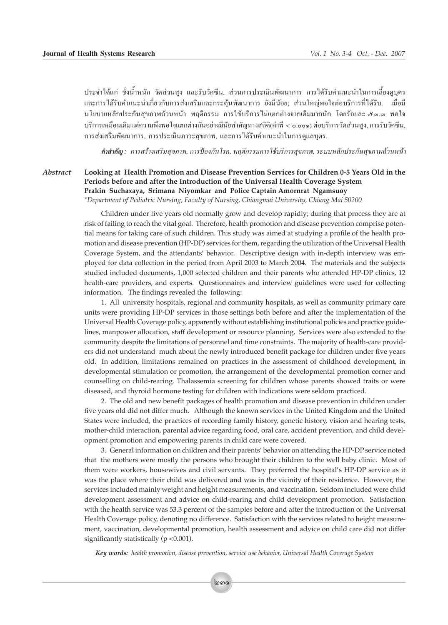ึ ประจำได้แก่ ซั่งน้ำหนัก วัดส่วนสูง และรับวัคซีน, ส่วนการประเมินพัฒนาการ การได้รับคำแนะนำในการเลี้ยงดูบุตร ้และการได้รับคำแนะนำเกี่ยวกับการส่งเสริมและกระดุ้นพัฒนาการ ยังมีน้อย; ส่วนใหญ่พอใจต่อบริการที่ได้รับ. เมื่อมี ี นโยบายหลักประกันสูขภาพถ้วนหน้า พฤติกรรม การใช้บริการไม่แตกต่างจากเดิมมากนัก โดยร้อยละ ๕๑.๑ พอใจ ึ บริการเหมือนเดิมแต่ความพึงพอใจแตกต่างกันอย่างมีนัยสำคัญทางสถิติ(ค่าพี < 0.00๑) ต่อบริการวัดส่วนสูง, การรับวัคซีน, การส่งเสริมพัฒนาการ, การประเมินภาวะสุขภาพ, และการได้รับคำแนะนำในการดูแลบุตร.

คำสำคัญ : การสร้างเสริมสุขภาพ, การป้องกัน โรค, พฤติกรรมการใช้บริการสุขภาพ, ระบบหลักประกันสุขภาพถ้วนหน้า

*Abstract* **Looking at Health Promotion and Disease Prevention Services for Children 0-5 Years Old in the Periods before and after the Introduction of the Universal Health Coverage System Prakin Suchaxaya, Srimana Niyomkar and Police Captain Amornrat Ngamsuoy** *\*Department of Pediatric Nursing, Faculty of Nursing, Chiangmai University, Chiang Mai 50200*

> Children under five years old normally grow and develop rapidly; during that process they are at risk of failing to reach the vital goal. Therefore, health promotion and disease prevention comprise potential means for taking care of such children. This study was aimed at studying a profile of the health promotion and disease prevention (HP-DP) services for them, regarding the utilization of the Universal Health Coverage System, and the attendants' behavior. Descriptive design with in-depth interview was employed for data collection in the period from April 2003 to March 2004. The materials and the subjects studied included documents, 1,000 selected children and their parents who attended HP-DP clinics, 12 health-care providers, and experts. Questionnaires and interview guidelines were used for collecting information. The findings revealed the following:

> 1. All university hospitals, regional and community hospitals, as well as community primary care units were providing HP-DP services in those settings both before and after the implementation of the Universal Health Coverage policy, apparently without establishing institutional policies and practice guidelines, manpower allocation, staff development or resource planning. Services were also extended to the community despite the limitations of personnel and time constraints. The majority of health-care providers did not understand much about the newly introduced benefit package for children under five years old. In addition, limitations remained on practices in the assessment of childhood development, in developmental stimulation or promotion, the arrangement of the developmental promotion corner and counselling on child-rearing. Thalassemia screening for children whose parents showed traits or were diseased, and thyroid hormone testing for children with indications were seldom practiced.

> 2. The old and new benefit packages of health promotion and disease prevention in children under five years old did not differ much. Although the known services in the United Kingdom and the United States were included, the practices of recording family history, genetic history, vision and hearing tests, mother-child interaction, parental advice regarding food, oral care, accident prevention, and child development promotion and empowering parents in child care were covered.

> 3. General information on children and their parents' behavior on attending the HP-DP service noted that the mothers were mostly the persons who brought their children to the well baby clinic. Most of them were workers, housewives and civil servants. They preferred the hospital's HP-DP service as it was the place where their child was delivered and was in the vicinity of their residence. However, the services included mainly weight and height measurements, and vaccination. Seldom included were child development assessment and advice on child-rearing and child development promotion. Satisfaction with the health service was 53.3 percent of the samples before and after the introduction of the Universal Health Coverage policy, denoting no difference. Satisfaction with the services related to height measurement, vaccination, developmental promotion, health assessment and advice on child care did not differ significantly statistically ( $p < 0.001$ ).

*Key words: health promotion, disease prevention, service use behavior, Universal Health Coverage System*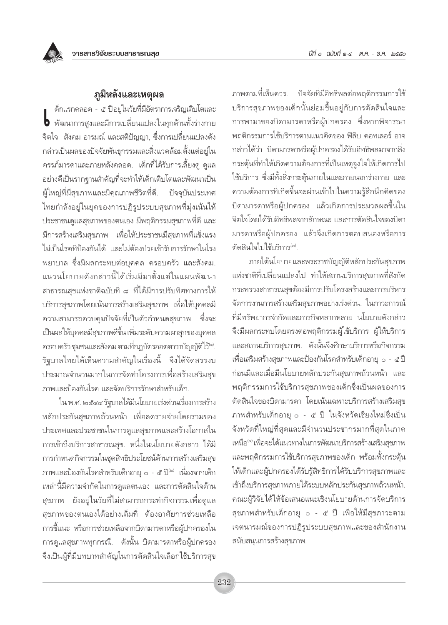# ภูมิหลังและเหตุผล

ด็กแรกคลอด - ๕ ปีอยู่ในวัยที่มีอัตราการเจริญเติบโตและ • พัฒนาการสูงและมีการเปลี่ยนแปลงในทุกด้านทั้งร่างกาย จิตใจ สังคม อารมณ์ และสติปัญญา, ซึ่งการเปลี่ยนแปลงดัง กล่าวเป็นผลของปัจจัยพันธุกรรมและสิ่งแวดล้อมตั้งแต่อยู่ใน ิ ครรภ์มารดาและภายหลังคลอด. เด็กที่ได้รับการเลี้ยงดู ดูแล อย่างดีเป็นรากฐานสำคัญที่จะทำให้เด็กเติบโตและพัฒนาเป็น ผู้ใหญ่ที่มีสุขภาพและมีคุณภาพชีวิตที่ดี. ปัจจุบันประเทศ ไทยกำลังอยู่ในยุคของการปฏิรูประบบสุขภาพที่มุ่งเน้นให้ ประชาชนดูแลสุขภาพของตนเอง มีพฤติกรรมสุขภาพที่ดี และ ้มีการสร้างเสริมสุขภาพ เพื่อให้ประชาชนมีสุขภาพที่แข็งแรง ไม่เป็นโรคที่ป้องกันได้ และไม่ต้องป่วยเข้ารับการรักษาในโรง พยาบาล ซึ่งมีผลกระทบต่อบุคคล ครอบครัว และสังคม. แนวนโยบายดังกล่าวนี้ได้เริ่มมีมาตั้งแต่ในแผนพัฒนา สาธารณสขแห่งชาติฉบับที่ ๘ ที่ได้มีการปรับทิศทางการให้ บริการสุขภาพโดยเน้นการสร้างเสริมสุขภาพ เพื่อให้บุคคลมี ้ความสามารถควบคุมปัจจัยที่เป็นตัวกำหนดสุขภาพ ซึ่งจะ เป็นผลให้บุคคลมีสุขภาพดีขึ้น เพิ่มระดับความผาสุกของบุคคล ครอบครัว ชุมชนและสังคม ตามที่กฎบัตรออตตาวาบัญญัติไว้® รัฐบาลไทยได้เห็นความสำคัญในเรื่องนี้ จึงได้จัดสรรงบ ประมาณจำนวนมากในการจัดทำโครงการเพื่อสร้างเสริมสุข ภาพและป้องกันโรค และจัดบริการรักษาสำหรับเด็ก.

ใน พ.ศ. ๒๕๔๔ รัฐบาลได้มีนโยบายเร่งด่วนเรื่องการสร้าง หลักประกันสุขภาพถ้วนหน้า เพื่อลดรายจ่ายโดยรวมของ ประเทศและประชาชนในการดูแลสุขภาพและสร้างโอกาสใน การเข้าถึงบริการสาธารณสุข. หนึ่งในนโยบายดังกล่าว ได้มี การกำหนดกิจกรรมในชุดสิทธิประโยชน์ด้านการสร้างเสริมสุข ภาพและป้องกันโรคสำหรับเด็กอายุ ๐ - ๕ ปี<sup>(๒)</sup> เนื่องจากเด็ก เหล่านี้มีความจำกัดในการดูแลตนเอง และการตัดสินใจด้าน ิสุขภาพ ยังอยู่ในวัยที่ไม่สามารถกระทำกิจกรรมเพื่อดูแล สุขภาพของตนเองได้อย่างเต็มที่ ต้องอาศัยการช่วยเหลือ การชี้แนะ หรือการช่วยเหลือจากบิดามารดาหรือผู้ปกครองใน การดูแลสุขภาพทุกกรณี. ดังนั้น บิดามารดาหรือผู้ปกครอง จึงเป็นผู้ที่มีบทบาทสำคัญในการตัดสินใจเลือกใช้บริการสุข

ภาพตามที่เห็นควร. ปัจจัยที่มีอิทธิพลต่อพฤติกรรมการใช้ ้บริการสุขภาพของเด็กนั้นย่อมขึ้นอยู่กับการตัดสินใจและ ิการพามาของบิดามารดาหรือผู้ปกครอง ซึ่งหากพิจารณา พฤติกรรมการใช้บริการตามแนวคิดของ ฟิลิบ คอทเลอร์ อาจ ึกล่าวได้ว่า บิดามารดาหรือผู้ปกครองได้รับอิทธิพลมาจากสิ่ง กระตุ้นที่ทำให้เกิดความต้องการที่เป็นเหตุจูงใจให้เกิดการไป ใช้บริการ ซึ่งมีทั้งสิ่งกระตุ้นภายในและภายนอกร่างกาย และ ความต้องการที่เกิดขึ้นจะผ่านเข้าไปในความรู้สึกนึกคิดของ บิดามารดาหรือผู้ปกครอง แล้วเกิดการประมวลผลขึ้นใน จิตใจโดยได้รับอิทธิพลจากลักษณะ และการตัดสินใจของบิดา มารดาหรือผู้ปกครอง แล้วจึงเกิดการตอบสนองหรือการ ตัดสินใจไปใช้บริการ<sup>(๓)</sup>.

ภายใต้นโยบายและพระราชบัญญัติหลักประกันสุขภาพ แห่งชาติที่เปลี่ยนแปลงไป ทำให้สถานบริการสุขภาพที่สังกัด กระทรวงสาธารณสุขต้องมีการปรับโครงสร้างและการบริหาร จัดการงานการสร้างเสริมสุขภาพอย่างเร่งด่วน. ในภาวะการณ์ ที่มีทรัพยากรจำกัดและภารกิจหลากหลาย นโยบายดังกล่าว จึงมีผลกระทบโดยตรงต่อพฤติกรรมผู้ใช้บริการ ผู้ให้บริการ และสถานบริการสุขภาพ. ดังนั้นจึงศึกษาบริการหรือกิจกรรม เพื่อเสริมสร้างสุขภาพและป้องกันโรคสำหรับเด็กอายุ ๐ - ๕ ปี ก่อนมีและเมื่อมีนโยบายหลักประกันสุขภาพถ้วนหน้า และ พฤติกรรมการใช้บริการสุขภาพของเด็กซึ่งเป็นผลของการ ตัดสินใจของบิดามารดา โดยเน้นเฉพาะบริการสร้างเสริมสุข ภาพสำหรับเด็กอายุ ๐ - ๕ ปี ในจังหวัดเชียงใหม่ซึ่งเป็น จังหวัดที่ใหญ่ที่สุดและมีจำนวนประชากรมากที่สุดในภาค เหนือ" เพื่อจะได้แนวทางในการพัฒนาบริการสร้างเสริมสุขภาพ และพฤติกรรมการใช้บริการสุขภาพของเด็ก พร้อมทั้งกระตุ้น ให้เด็กและผู้ปกครองได้รับรู้สิทธิการได้รับบริการสุขภาพและ เข้าถึงบริการสุขภาพภายใต้ระบบหลักประกันสุขภาพถ้วนหน้า. คณะผู้วิจัยได้ให้ข้อเสนอแนะเชิงนโยบายด้านการจัดบริการ สุขภาพสำหรับเด็กอายุ ๐ - ๕ ปี เพื่อให้มีสุขภาวะตาม เจตนารมณ์ของการปฏิรูประบบสุขภาพและของสำนักงาน สนับสนุนการสร้างสุขภาพ.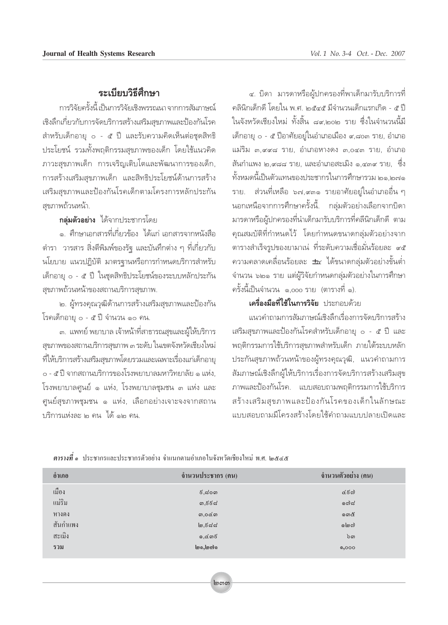# ระเขียบวิธีสีภา**มา**

การวิจัยครั้งนี้ เป็นการวิจัยเชิงพรรณนา จากการสัมภาษณ์ เชิงลิ๊กเกี่ยวกับการจัดบริการสร้างเสริมสุขภาพและป้องกันโรค สำหรับเด็กอายุ ๐ - ๕ ปี และรับความคิดเห็นต่อชุดสิทธิ ประโยชน์ รวมทั้งพฤติกรรมสุขภาพของเด็ก โดยใช้แนวคิด ภาวะสุขภาพเด็ก การเจริญเติบโตและพัฒนาการของเด็ก, การสร้างเสริมสุขภาพเด็ก และสิทธิประโยชน์ด้านการสร้าง เสริมสุขภาพและป้องกันโรคเด็กตามโครงการหลักประกัน สขภาพถ้วนหน้า.

#### ึกลุ่มตัวอย่าง ได้จากประชากรโดย

๑. ศึกษาเอกสารที่เกี่ยวข้อง ได้แก่ เอกสารจากหนังสือ ตำรา วารสาร สิ่งตีพิมพ์ของรัฐ และบันทึกต่าง ๆ ที่เกี่ยวกับ นโยบาย แนวปฏิบัติ มาตรฐานหรือการกำหนดบริการสำหรับ เด็กอายุ ๐ - ๕ ปี ในชุดสิทธิประโยชน์ของระบบหลักประกัน สุขภาพถ้วนหน้าของสถานบริการสุขภาพ.

๒. ผู้ทรงคุณวุฒิด้านการสร้างเสริมสุขภาพและป้องกัน โรคเด็กอายุ ๐ - ๕ ปี จำนวน ๑๐ คน.

.๓. แพทย์ พยาบาล เจ้าหน้าที่สาธารณสุขและผู้ให้บริการ สุขภาพของสถานบริการสุขภาพ ๓ ระดับ ในเขตจังหวัดเชียงใหม่ ้ที่ให้บริการสร้างเสริมสุขภาพโดยรวมและเฉพาะเรื่องแก่เด็กอายุ ๐ - ๕ ปี จากสถานบริการของโรงพยาบาลมหาวิทยาลัย ๑ แห่ง, โรงพยาบาลศูนย์ ๑ แห่ง, โรงพยาบาลชุมชน ๓ แห่ง และ ์ศูนย์สุขภาพชุมชน ๑ แห่ง, เลือกอย่างเจาะจงจากสถาน งธิการแห่งละ ๒ คน ได้ ๑๒ คน

ี่ ๔. บิดา มารดาหรือผ้ปกครองที่พาเด็กมารับบริการที่ คลินิกเด็กดี โดยใน พ.ศ. ๒๕๔๕ มีจำนวนเด็กแรกเกิด - ๕ ปี ในจังหวัดเชียงใหม่ ทั้งสิ้น ๘๙.๒๐๒ ราย ซึ่งในจำนวนนี้มี เด็กอายุ ๐ - ๕ ปีอาศัยอยู่ในอำเภอเมือง ๙,๘๐๓ ราย, อำเภอ แม่ริม ๓,๙๙๘ ราย, อำเภอหางดง ๓,๐๔๓ ราย, อำเภอ สันกำแพง ๒.๙๘๘ ราย, และอำเภอสะเมิง ๑.๔๓๙ ราย, ีซึ่ง ้ทั้งหมดนี้เป็นตัวแทนของประชากรในการศึกษารวม ๒๑.๒๗๑ ราย. ส่วนที่เหลือ ๖๗,๙๓๑ รายอาศัยอยู่ในอำเภออื่น ๆ นอกเหนือจากการศึกษาครั้งนี้. กล่มตัวอย่างเลือกจากบิดา มารดาหรือผู้ปกครองที่นำเด็กมารับบริการที่คลีนิกเด็กดี ตาม คุณสมบัติที่กำหนดไว้ โดยกำหนดขนาดกลุ่มตัวอย่างจาก ตารางสำเร็จรูปของยามาเน่ ที่ระดับความเชื่อมั่นร้อยละ ๙๕ ี<br>ความคลาดเคลื่อนร้อยละ ±๔ ได้ขนาดกลุ่มตัวอย่างขั้นต่ำ ้จำนวน ๖๒๑ ราย แต่ผู้วิจัยกำหนดกลุ่มตัวอย่างในการศึกษา ครั้งนี้เป็นจำนวน ๑,๐๐๐ ราย (ตารางที่ ๑).

### เครื่องมือที่ใช้ในการวิจัย ประกอบด้วย

แนวคำถามการสัมภาษณ์เชิงลึกเรื่องการจัดบริการสร้าง เสริมสุขภาพและป้องกันโรคสำหรับเด็กอายุ ๐ - ๕ ปี และ พฤติกรรมการใช้บริการสุขภาพสำหรับเด็ก ภายใต้ระบบหลัก ประกันสุขภาพถ้วนหน้าของผู้ทรงคุณวุฒิ, แนวคำถามการ สัมภาษณ์เชิงลึกผู้ให้บริการเรื่องการจัดบริการสร้างเสริมสุข ภาพและป้องกันโรค. แบบสอบถามพฤติกรรมการใช้บริการ สร้างเสริมสุขภาพและป้องกันโรคของเด็กในลักษณะ แบบสอบกามปีโครงสร้างโดยใช้คำกามแบบปลายเปิดและ

| อำเภอ    | อำนวนประชากร (คน)              | อำนวนตัวอย่าง (คน) |
|----------|--------------------------------|--------------------|
| เมือง    | $\epsilon$ ,പ്റത               | ය්දිග              |
| แม่ริม   | ග, $\epsilon$ දිය              | ගෝය                |
| หางดง    | ണ,ഠ $\alpha$ ന                 | ෨ෙ                 |
| สันกำแพง | $\mathsf{I}_\mathfrak{D},$ ಕದದ | லெல                |
| สะเมิง   | $0,$ රැග $5$                   | ່ວດ                |
| รวม      | ๒๑,๒๗๑                         | 0,000              |
|          |                                |                    |

ี <mark>ตารางที่</mark> ๑ ประชากรและประชากรตัวอย่าง จำแนกตามอำเภอในจังหวัดเชียงใหม่ พ.ศ. *๒๕๔๕*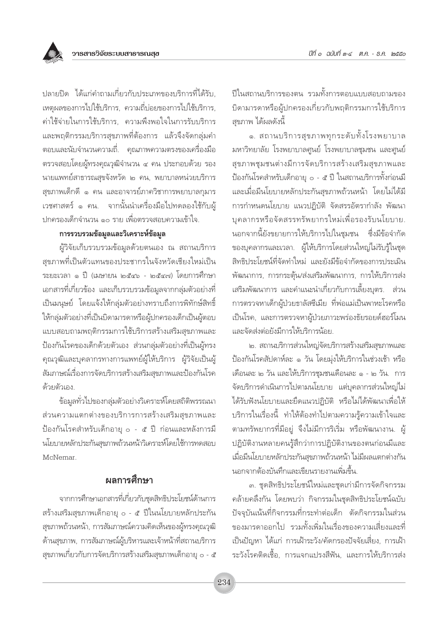

ปลายปิด ได้แก่คำถามเกี่ยวกับประเภทของบริการที่ได้รับ. เหตุผลของการไปใช้บริการ, ความถี่บ่อยของการไปใช้บริการ, ค่าใช้จ่ายในการใช้บริการ, ความพึงพอใจในการรับบริการ และพฤติกรรมบริการสุขภาพที่ต้องการ แล้วจึงจัดกลุ่มคำ ้ตอบและนับจำนวนความถี่. คุณภาพความตรงของเครื่องมือ ตรวจสอบโดยผู้ทรงคุณวุฒิจำนวน ๔ คน ประกอบด้วย รอง นายแพทย์สาธารณสุขจังหวัด ๒ คน, พยาบาลหน่วยบริการ สุขภาพเด็กดี ๑ คน และอาจารย์ภาควิชาการพยาบาลกุมาร เวชศาสตร์ ๑ คน. จากนั้นนำเครื่องมือไปทดลองใช้กับผ้ ้าไกครองเด็กจำนวน ๑๐ ราย เพื่อตรวจสอบความเข้าใจ

#### การรวบรวมข้อมูลและวิเคราะห์ข้อมูล

ผู้วิจัยเก็บรวบรวมข้อมูลด้วยตนเอง ณ สถานบริการ สขภาพที่เป็นตัวแทนของประชากรในจังหวัดเชียงใหม่เป็น ระยะเวลา ๑ ปี (เมษายน ๒๕๔๖ - ๒๕๔๗) โดยการศึกษา เอกสารที่เกี่ยวข้อง และเก็บรวบรวมข้อมูลจากกลุ่มตัวอย่างที่ เป็นมนุษย์ โดยแจ้งให้กลุ่มตัวอย่างทราบถึงการพิทักษ์สิทธิ์ ให้กลุ่มตัวอย่างที่เป็นบิดามารดาหรือผู้ปกครองเด็กเป็นผู้ตอบ แบบสอบถามพฤติกรรมการใช้บริการสร้างเสริมสุขภาพและ ป้องกันโรคของเด็กด้วยตัวเอง ส่วนกลุ่มตัวอย่างที่เป็นผู้ทรง ้คุณวุฒิและบุคลากรทางการแพทย์ผู้ให้บริการ ผู้วิจัยเป็นผู้ สัมภาษณ์เรื่องการจัดบริการสร้างเสริมสุขภาพและป้องกันโรค ด้วยตัวเอง

ข้อมูลทั่วไปของกลุ่มตัวอย่างวิเคราะห์โดยสถิติพรรณนา ส่วนความแตกต่างของบริการการสร้างเสริมสุขภาพและ ป้องกันโรคสำหรับเด็กอายุ ๐ - ๕ ปี ก่อนและหลังการมี นโยบายหลักประกันสุขภาพถ้วนหน้าวิเคราะห์โดยใช้การทดสอบ McNemar

# ผลการศึกษา

จากการศึกษาเอกสารที่เกี่ยวกับชุดสิทธิประโยชน์ด้านการ สร้างเสริมสุขภาพเด็กอายุ ๐ - ๕ ปีในนโยบายหลักประกัน สุขภาพถ้วนหน้า, การสัมภาษณ์ความคิดเห็นของผู้ทรงคุณวุฒิ ด้านสุขภาพ, การสัมภาษณ์ผู้บริหารและเจ้าหน้าที่สถานบริการ สุขภาพเกี่ยวกับการจัดบริการสร้างเสริมสุขภาพเด็กอายุ ๐ - ๕

ปีในสถานบริการของตน รวมทั้งการตอบแบบสอบถามของ ้บิดามารดาหรือผู้ปกครองเกี่ยวกับพฤติกรรมการใช้บริการ สขภาพ ได้ผลดังนี้

๑. สถานบริการสุขภาพทุกระดับทั้งโรงพยาบาล ้มหาวิทยาลัย โรงพยาบาลศูนย์ โรงพยาบาลชุมชน และศูนย์ สุขภาพชุมชนต่างมีการจัดบริการสร้างเสริมสุขภาพและ ์ป้องกันโรคสำหรับเด็กอายุ ๐ - ๕ ปี ในสถานบริการทั้งก่อนมี และเมื่อมีนโยบายหลักประกันสุขภาพถ้วนหน้า โดยไม่ได้มี การกำหนดนโยบาย แนวปฏิบัติ จัดสรรอัตรากำลัง พัฒนา บุคลากรหรือจัดสรรทรัพยากรใหม่เพื่อรองรับนโยบาย. นอกจากนี้ยังขยายการให้บริการไปในชุมชน ซึ่งมีข้อจำกัด ของบุคลากรและเวลา. ผู้ให้บริการโดยส่วนใหญ่ไม่รับรู้ในชุด สิทธิประโยชน์ที่จัดทำใหม่ และยังมีข้อจำกัดของการประเมิน พัฒนาการ, การกระตุ้น/ส่งเสริมพัฒนาการ, การให้บริการส่ง เสริมพัฒนาการ และคำแนะนำเกี่ยวกับการเลี้ยงบุตร. ส่วน การตรวจหาเด็กผู้ป่วยธาลัสซีเมีย ที่พ่อแม่เป็นพาหะโรคหรือ เป็นโรค, และการตรวจหาผู้ป่วยภาวะพร่องธัยรอยด์ฮอร์โมน และจัดส่งต่อยังมีการให้บริการน้อย

๒. สถานบริการส่วนใหญ่จัดบริการสร้างเสริมสุขภาพและ ป้องกันโรคสัปดาห์ละ ๑ วัน โดยมุ่งให้บริการในช่วงเช้า หรือ เดือนละ ๒ วัน และให้บริการชุมชนเดือนละ ๑ - ๒ วัน. การ จัดบริการดำเนินการไปตามนโยบาย แต่บุคลากรส่วนใหญ่ไม่ ได้รับฟังนโยบายและยึดแนวปฏิบัติ หรือไม่ได้พัฒนาเพื่อให้ บริการในเรื่องนี้ ทำให้ต้องทำไปตามความรู้ความเข้าใจและ ิตามทรัพยากรที่มีอยู่ จึงไม่มีการริเริ่ม หรือพัฒนางาน. ผู้ ปฏิบัติงานหลายคนรู้สึกว่าการปฏิบัติงานของตนก่อนมีและ เมื่อมีนโยบายหลักประกันสขภาพถ้วนหน้า ไม่มีผลแตกต่างกัน ู นอกจากต้องบันทึกและเขียนรายงานเพิ่มขึ้น.

๓. ชุดสิทธิประโยชน์ใหม่และชุดเก่ามีการจัดกิจกรรม คล้ายคลึงกัน โดยพบว่า กิจกรรมในชุดสิทธิประโยชน์ฉบับ ้ปัจจุบันเน้นที่กิจกรรมที่กระทำต่อเด็ก ตัดกิจกรรมในส่วน ของมารดาออกไป รวมทั้งเพิ่มในเรื่องของความเสี่ยงและที่ เป็นปัญหา ได้แก่ การเฝ้าระวัง/คัดกรองปัจจัยเสี่ยง. การเฝ้า ระวังโรคติดเชื้อ, การแจกแปรงสีฟัน, และการให้บริการส่ง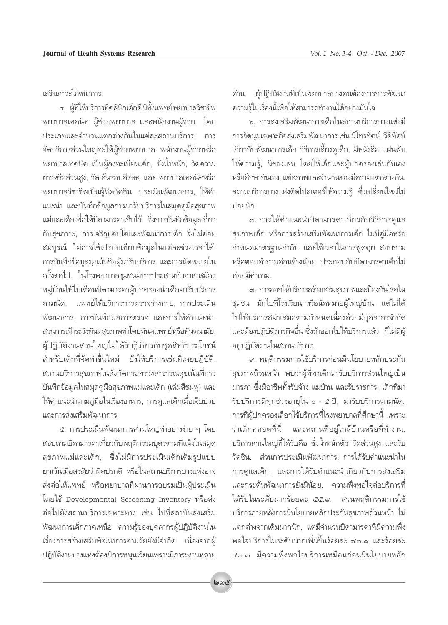เสริมภาวะโภชนาการ

้๔. ผู้ที่ให้บริการที่คลินิกเด็กดีมีทั้งแพทย์พยาบาลวิชาชีพ พยาบาลเทคนิค ผู้ช่วยพยาบาล และพนักงานผู้ช่วย <sup>โ</sup>ดย ึประเภทและจำนวนแตกต่างกันในแต่ละสถานบริการ, การ ้จัดบริการส่วนใหญ่จะให้ผู้ช่วยพยาบาล พนักงานผู้ช่วยหรือ พยาบาลเทคนิค เป็นผู้ลงทะเบียนเด็ก, ชั่งน้ำหนัก, วัดความ ยาวหรือส่วนสูง, วัดเส้นรอบศีรษะ, และ พยาบาลเทคนิคหรือ พยาบาลวิชาชีพเป็นผู้ฉีดวัคซีน, ประเมินพัฒนาการ, ให้คำ แนะนำ และบันทึกข้อมูลการมารับบริการในสมุดคู่มือสุขภาพ ้แม่และเด็กเพื่อให้บิดามารดาเก็บไว้ ซึ่งการบันทึกข้อมูลเกี่ยว ้กับสุขภาวะ, การเจริญเติบโตและพัฒนาการเด็ก จึงไม่ค่อย สมบูรณ์ ไม่อาจใช้เปรียบเทียบข้อมูลในแต่ละช่วงเวลาได้. การบันทึกข้อมูลมุ่งเน้นชื่อผู้มารับบริการ และการนัดหมายใน ครั้งต่อไป. ในโรงพยาบาลชุมชนมีการประสานกับอาสาสมัคร หมู่บ้านให้ไปเตือนบิดามารดาผู้ปกครองนำเด็กมารับบริการ ์ตามนัด. แพทย์ให้บริการการตรวจร่างกาย. การประเมิน พัฒนาการ, การบันทึกผลการตรวจ และการให้คำแนะนำ, ส่วนการเฝ้าระวังทันตสุขภาพทำโดยทันตแพทย์หรือทันตนามัย. ผู้ปฏิบัติงานส่วนใหญ่ไม่ได้รับรู้เกี่ยวกับชุดสิทธิประโยชน์ ี สำหรับเด็กที่จัดทำขึ้นใหม่ ยังให้บริการเช่นที่เคยปฏิบัติ. สถานบริการสุขภาพในสังกัดกระทรวงสาธารณสุขเน้นที่การ ู้บันทึกข้อมูลในสมุดคู่มือสุขภาพแม่และเด็ก (เล่มสีชมพู) และ ให้คำแนะนำตามคู่มือในเรื่องอาหาร, การดูแลเด็กเมื่อเจ็บป่วย ้และการส่งเสริมพัฒนาการ

ึ ๕. การประเมินพัฒนาการส่วนใหญ่ทำอย่างง่าย ๆ โดย ้สอบถามบิดามารดาเกี่ยวกับพฤติกรรมบุตรตามที่แจ้งในสมุด สุขภาพแม่และเด็ก, ซึ่งไม่มีการประเมินเด็กเต็มรูปแบบ ยกเว้นเมื่อสงสัยว่าผิดปรกติ หรือในสถานบริการบางแห่งอาจ ส่งต่อให้แพทย์ หรือพยาบาลที่ผ่านการอบรมเป็นผู้ประเมิน โดยใช้ Developmental Screening Inventory หรือส่ง ์ ต่อไปยังสถานบริการเฉพาะทาง เช่น ไปที่สถาบันส่งเสริม ู้ พัฒนาการเด็กภาคเหนือ. ความรู้ของบุคลากรผู้ปฏิบัติงานใน เรื่องการสร้างเสริมพัฒนาการตามวัยยังมีจำกัด เนื่องจากผู้ ปฏิบัติงานบางแห่งต้องมีการหมุนเวียนเพราะมีภาระงานหลาย ด้าน. ผู้ปฏิบัติงานที่เป็นพยาบาลบางคนต้องการการพัฒนา ์ ความรู้ในเรื่องนี้เพื่อให้สามารถทำงานได้อย่างมั่นใจ.

ิ ๖. การส่งเสริมพัฒนาการเด็กในสถานบริการบางแห่งมี การจัดมุมเฉพาะกิจส่งเสริมพัฒนาการ เช่น มีโทรทัศน์, วีดิทัศน์ ู้ เกี่ยวกับพัฒนาการเด็ก วิธีการเลี้ยงดูเด็ก, มีหนังสือ แผ่นพับ ให้ความรู้, มีของเล่น โดยให้เด็กและผู้ปกครองเล่นกันเอง ึ่หรือศึกษากันเอง, แต่สภาพและจำนวนของมีความแตกต่างกัน, สถานบริการบางแห่งติดโปสเตอร์ให้ความรู้ ซึ่งเปลี่ยนใหม่ไม่ ปอยนัก.

ิ ๗. การให้คำแนะนำบิดามารดาเกี่ยวกับวิธีการดูแล สุขภาพเด็ก หรือการสร้างเสริมพัฒนาการเด็ก ไม่มีคู่มือหรือ ึ กำหนดมาตรฐานกำกับ และใช้เวลาในการพูดคุย สอบถาม ึ หรือตอบคำถามค่อนข้างน้อย ประกอบกับบิดามารดาเด็กไม่ ค่อยมีดำถาม

 $\,$ ๘. การออกให้บริการสร้างเสริมสุขภาพและป้องกันโรคใน ู้ ชุมชน มักไปที่โรงเรียน หรือนัดหมายผู้ใหญ่บ้าน แต่ไม่ได้ ู้ ไปให้บริการสม่ำเสมอตามกำหนดเนื่องด้วยมีบุคลากรจำกัด เเละต้องปฏิบัติภารกิจอื่น ซึ่งถ้าออกไปให้บริการแล้ว ก็ไม่มีผู้ อยู่ปฏิบัติงานในสถานบริการ.

์๙. พฤติกรรมการใช้บริการก่อนมื่นโยบายหลักประกัน สุขภาพถ้วนหน้า พบว่าผู้ที่พาเด็กมารับบริการส่วนใหญ่เป็น มารดา ซึ่งมือาชีพทั้งรับจ้าง แม่บ้าน และรับราชการ, เด็กที่มา  $\frac{1}{2}$ รับบริการมีทุกช่วงอายุใน  $\circ$  - ๕ ปี, มารับบริการตามนัด. ำการที่ผู้ปกครองเลือกใช้บริการที่โรงพยาบาลที่ศึกษานี้ เพราะ ว่าเด็กคลอดที่นี่ และสถานที่อยู่ใกล้บ้านหรือที่ทำงาน. ับริการส่วนใหญ่ที่ได้รับคือ ชั่งน้ำหนักตัว วัดส่วนสูง และรับ ู้ วัคซีน. ส่วนการประเมินพัฒนาการ, การได้รับคำแนะนำใน ำการดูแลเด็ก, และการได้รับคำแนะนำเกี่ยวกับการส่งเสริม และกระตุ้นพัฒนาการยังมีน้อย. ความพึ่งพอใจต่อบริการที่ ู้ได้รับในระดับมากร้อยละ ๕๕.๙. ส่วนพฤติกรรมการใช้ ึ บริการภายหลังการมีนโยบายหลักประกันสุขภาพถ้วนหน้า <sup>ไ</sup>ม่ เเตกต่างจากเดิมมากนัก, เเต่มีจำนวนบิดามารดาที่มีความพึง ้พอใจบริการในระดับมากเพิ่มขึ้นร้อยละ ∞∣.๑ และร้อยละ ์๕๓.๓ มีความพึ่งพอใจบริการเหมือนก่อนมีนโยบายหลัก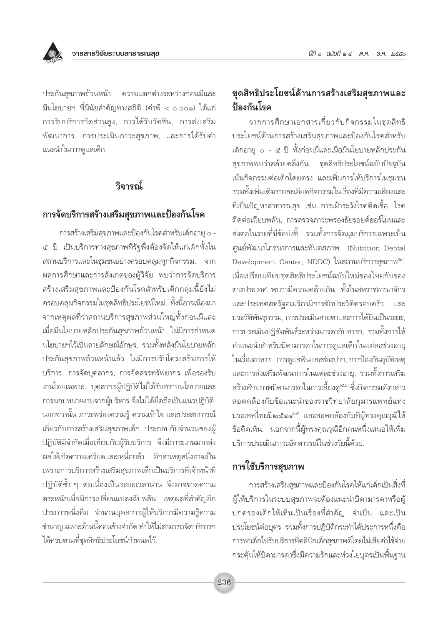

ประกันสุขภาพถ้วนหน้า. ความแตกต่างระหว่างก่อนมีและ มีนโยบายฯ ที่มีนัยสำคัญทางสถิติ (ค่าพี < o.oo๑) ได้แก่ การรับบริการวัดส่วนสูง, การได้รับวัคซีน, การส่งเสริม ้พัฒนาการ, การประเมินภาวะสุขภาพ, และการได้รับคำ แนะนำในการดูแลเด็ก.

# วิจารณ์

## การจัดบริการสร้างเสริมสุขภาพและป้องกันโรค

การสร้างเสริมสุขภาพและป้องกันโรคสำหรับเด็กอายุ ๐ -ี่ ๕ ปี เป็นบริการทางสุขภาพที่รัฐพึงต้องจัดให้แก่เด็กทั้งใน สถานบริการและในชุมชนอย่างครอบคลุมทุกกิจกรรม. จาก ผลการศึกษาและการสังเกตของผู้วิจัย พบว่าการจัดบริการ สร้างเสริมสุขภาพและป้องกันโรคสำหรับเด็กกลุ่มนี้ยังไม่ ้ครอบคลุมกิจกรรมในชุดสิทธิประโยชน์ใหม่. ทั้งนี้อาจเนื่องมา ิจากเหตุผลที่ว่าสถานบริการสุขภาพส่วนใหญ่ทั้งก่อนมีและ เมื่อมีนโยบายหลักประกันสุขภาพถ้วนหน้า ไม่มีการกำหนด นโยบายฯไว้เป็นลายลักษณ์อักษร, รวมทั้งหลังมีนโยบายหลัก ประกันสุขภาพถ้วนหน้าแล้ว ไม่มีการปรับโครงสร้างการให้ บริการ, การจัดบุคลากร, การจัดสรรทรัพยากร เพื่อรองรับ งานโดยเฉพาะ, บุคลากรผู้ปฏิบัติไม่ได้รับทราบนโยบายและ การมอบหมายงานจากผู้บริหาร จึงไม่ได้ยึดถือเป็นแนวปฏิบัติ. ้นอกจากนั้น ภาวะพร่องความรู้ ความเข้าใจ และประสบการณ์ เกี่ยวกับการสร้างเสริมสุขภาพเด็ก ประกอบกับจำนวนของผู้ ปฏิบัติมีจำกัดเมื่อเทียบกับผู้รับบริการ จึงมีภาระงานมากส่ง ผลให้เกิดความเครียดและเหนื่อยล้า. อีกสาเหตุหนึ่งอาจเป็น เพราะการบริการสร้างเสริมสุขภาพเด็กเป็นบริการที่เจ้าหน้าที่ ปฏิบัติซ้ำ ๆ ต่อเนื่องเป็นระยะเวลานาน จึงอาจขาดความ ิตระหนักเมื่อมีการเปลี่ยนแปลงฉับพลัน. เหตุผลที่สำคัญอีก ประการหนึ่งคือ จำนวนบุคลากรผู้ให้บริการมีความรู้ความ ชำนาญเฉพาะด้านนี้ค่อนข้างจำกัด ทำให้ไม่สามารถจัดบริการฯ ได้ครบตามที่ชุดสิทธิประโยชน์กำหนดไว้.

# ชุดสิทธิประโยชน์ด้านการสร้างเสริมสุขภาพและ ป้องกันโรค

จากการศึกษาเอกสารเกี่ยวกับกิจกรรมในชุดสิทธิ ประโยชน์ด้านการสร้างเสริมสุขภาพและป้องกันโรคสำหรับ เด็กอายุ ๐ - ๕ ปี ทั้งก่อนมีและเมื่อมีนโยบายหลักประกัน สุขภาพพบว่าคล้ายคลึงกัน. ชุดสิทธิประโยชน์ฉบับปัจจุบัน เน้นกิจกรรมต่อเด็กโดยตรง และเพิ่มการให้บริการในชุมชน รวมทั้งเพิ่มเติมรายละเอียดกิจกรรมในเรื่องที่มีความเสี่ยงและ ที่เป็นปัญหาสาธารณสุข เช่น การเฝ้าระวังโรคติดเชื้อ, โรค ติดต่อเฉียบพลัน. การตรวจภาวะพร่องธัยรอยด์ฮอร์โมนและ ส่งต่อในรายที่มีข้อบ่งชี้, รวมทั้งการจัดมุมบริการเฉพาะเป็น ศูนย์พัฒนาโภชนาการและทันตสภาพ (Nutrition Dental Development Center; NDDC) ในสถานบริการสุขภาพ<sup>(๒)</sup>. เมื่อเปรียบเทียบชดสิทธิประโยชน์ฉบับใหม่ของไทยกับของ ต่างประเทศ พบว่ามีความคล้ายกัน: ทั้งในสหราชอาณาจักร และประเทศสหรัฐอเมริกามีการซักประวัติครอบครัว และ ประวัติพันธุกรรม, การประเมินสายตาและการได้ยินเป็นระยะ, การประเมินปฏิสัมพันธ์ระหว่างมารดากับทารก, รวมทั้งการให้ คำแนะนำสำหรับบิดามารดาในการดูแลเด็กในแต่ละช่วงอายุ ในเรื่องอาหาร, การดูแลฟันและช่องปาก, การป้องกันอุบัติเหตุ และการส่งเสริมพัฒนาการในแต่ละช่วงอายุ, รวมทั้งการเสริม สร้างศักยภาพบิดามารดาในการเลี้ยงดู<sup>(๕,๖)</sup> ซึ่งกิจกรรมดังกล่าว สอดคล้องกับข้อแนะนำของราชวิทยาลัยกุมารแพทย์แห่ง ประเทศไทยปี๒๕๔๔ $^{\scriptscriptstyle(n)}$  และสอดคล้องกับที่ผู้ทรงคุณวุฒิให้ ข้อคิดเห็น. นอกจากนี้ผู้ทรงคุณวุฒิอีกคนหนึ่งเสนอให้เพิ่ม <u> บริการประเมินภาวะอัตตาวรณ์ในช่วงวัยนี้ด้วย </u>

# การใช้บริการสุขภาพ

<sub>ิ</sub>การสร้างเสริมสุขภาพและป้องกันโรคให้แก่เด็กเป็นสิ่งที่ ผู้ให้บริการในระบบสุขภาพจะต้องแนะนำบิดามารดาหรือผู้ ีปกครองเด็กให้เห็นเป็นเรื่องที่สำคัญ จำเป็น และเป็น ประโยชน์ต่อบุตร รวมทั้งการปฏิบัติกระทำได้ประการหนึ่งคือ การพาเด็กไปรับบริการที่คลินิกเด็กสุขภาพดีโดยไม่เสียค่าใช้จ่าย กระตุ้นให้บิดามารดาซึ่งมีความรักและห่วงใยบุตรเป็นพื้นฐาน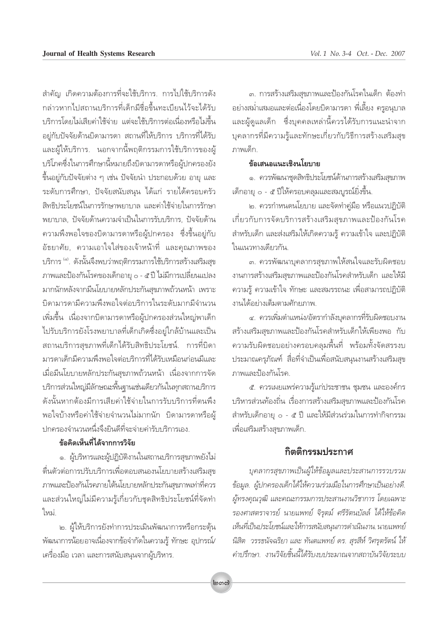สำคัญ เกิดความต้องการที่จะใช้บริการ. การไปใช้บริการดัง ึกล่าวหากไปสถานบริการที่เด็กมีชื่อขึ้นทะเบียนไว้จะได้รับ ู้ บริการโดยไม่เสียค่าใช้จ่าย แต่จะใช้บริการต่อเนื่องหรือไม่ขึ้น ือยู่กับปัจจัยด้านบิดามารดา สถานที่ให้บริการ บริการที่ได้รับ และผู้ให้บริการ. นอกจากนี้พฤติกรรมการใช้บริการของผู้ ้ บริโภคซึ่งในการศึกษานี้หมายถึงบิดามารดาหรือผู้ปกครองยัง ู้ขึ้นอยู่กับปัจจัยต่าง ๆ เช่น ปัจจัยนำ ประกอบด้วย อายุ และ ระดับการศึกษา, ปัจจัยสนับสนุน ได้แก่ รายได้ครอบครัว สิทธิประโยชน์ในการรักษาพยาบาล และค่าใช้จ่ายในการรักษา ู้พยาบาล, ปัจจัยด้านความจำเป็นในการรับบริการ, ปัจจัยด้าน ์ ความพึ่งพอใจของบิดามารดาหรือผู้ปกครอง ซึ่งขึ้นอยู่กับ ้อัธยาศัย, ความเอาใจใส่ของเจ้าหน้าที่ และคุณภาพของ บริการ <sup>(๘)</sup>. ดังนั้นจึงพบว่าพฤติกรรมการใช้บริการสร้างเสริมสุข ภาพและป้องกันโรคของเด็กอายุ o - ๕ ปี ไม่มีการเปลี่ยนแปลง มากนักหลังจากมีนโยบายหลักประกันสุขภาพถ้วนหน้า *เ*พราะ ้ บิดามารดามีความพึ่งพอใจต่อบริการในระดับมากมีจำนวน เพิ่มขึ้น เนื่องจากบิดามารดาหรือผู้ปกครองส่วนใหญ่พาเด็ก ู้ ไปรับบริการยังโรงพยาบาลที่เด็กเกิดซึ่งอยู่ใกล้บ้านและเป็น ิสถานบริการสุขภาพที่เด็กได้รับสิทธิประโยชน์. การที่บิดา มารดาเด็กมีความพึ่งพอใจต่อบริการที่ได้รับเหมือนก่อนมีและ เมื่อมีนโยบายหลักประกันสขภาพถ้วนหน้า เนื่องจากการจัด ึ บริการส่วนใหญ่มีลักษณะพื้นฐานเช่นเดียวกันในทุกสถานบริการ ์ ดังนั้นหากต้องมีการเสียค่าใช้จ่ายในการรับบริการที่ตนพึง พอใจบ้างหรือค่าใช้จ่ายจำนวนไม่มากนัก บิดามารดาหรือผู้ ้ปกครองจำนวนหนึ่งจึงยินดีที่จะจ่ายค่ารับบริการเอง.

## ์<br>ข้อคิดเห็นที่ได้จากการวิจัย

๑. ผู้บริหารและผู้ปฏิบัติงานในสถานบริการสุขภาพยังไม่ ดื่นตัวต่อการปรับบริการเพื่อตอบสนองนโยบายสร้างเสริมสุข ภาพและป้องกันโรคภายใต้นโยบายหลักประกันสุขภาพเท่าที่ควร เเละส่วนใหญ่ไม่มีความรู้เกี่ยวกับชุดสิทธิประโยชน์ที่จัดทำ ใหม่.

๒. ผู้ให้บริการยังทำการประเมินพัฒนาการหรือกระตุ้น พัฒนาการน้อยอาจเนื่องจากข้อจำกัดในความรู้ ทักษะ อุปกรณ์/ เครื่องมือ เวลา และการสนับสนุนจากผู้บริหาร.

๓. การสร้างเสริมสุขภาพและป้องกันโรคในเด็ก ต้องทำ ือย่างสม่ำเสมอและต่อเนื่องโดยบิดามารดา พี่เลี้ยง ครูอนุบาล ้และผู้ดูแลเด็ก ซึ่งบุคคลเหล่านี้ควรได้รับการแนะนำจาก บุคลากรที่มีความรู้และทักษะเกี่ยวกับวิธีการสร้างเสริมสุข ภาพเด็ก

#### ข้อเสนอแนะเชิงนโยบาย

๑. ควรพัฒนาชุดสิทธิประโยชน์ด้านการสร้างเสริมสุขภาพ ้เด็กอายุ ๐ - ๕ ปีให้ครอบคลุมและสมบูรณ์ยิ่งขึ้น.

ิ๒. ควรกำหนดนโยบาย และจัดทำค่มือ หรือแนวปฏิบัติ ู้เกี่ยวกับการจัดบริการสร้างเสริมสุขภาพและป้องกันโรค สำหรับเด็ก และส่งเสริมให้เกิดความรู้ ความเข้าใจ และปฏิบัติ ในแนวทางเดียวกัน.

๓. ควรพัฒนาบุคลากรสุขภาพให้สนใจและรับผิดชอบ ึ่งานการสร้างเสริมสุขภาพและป้องกันโรคสำหรับเด็ก และให้มี ึ ความรู้ ความเข้าใจ ทักษะ และสมรรถนะ เพื่อสามารถปฏิบัติ งานได้อย่างเต็มตามศักยภาพ.

๔. ควรเพิ่มตำแหน่ง/อัตรากำลังบุคลากรที่รับผิดชอบงาน สร้างเสริมสขภาพและป้องกันโรคสำหรับเด็กให้เพียงพอ กับ ์ ความรับผิดชอบอย่างครอบคลุมพื้นที่ พร้อมทั้งจัดสรรงบ ประมาณครุภัณฑ์ สื่อที่จำเป็นเพื่อสนับสนุนงานสร้างเสริมสุข <u>ภาพและป้องกันโรค.</u>

ึ้ะ. ควรเผยแพร่ความรู้แก่ประชาชน ชุมชน และองค์กร ู บริหารส่วนท้องถิ่น เรื่องการสร้างเสริมสุขภาพและป้องกันโรค สำหรับเด็กอายุ ๐ - ๕ ปี และให้มีส่วนร่วมในการทำกิจกรรม เพื่อเสริมสร้างสุขภาพเด็ก.

## กิตติกรรม**ูเ** |ระกาศ

*ุบุคลากรสุขภาพเป็นผู้ให้ข้อมูลและประสานการรวบรวม ข้อมูล. ผู้ปกครองเด็กได้ให้ความร่วมมือในการศึกษาเป็นอย่างดี.*  $\AA$ ทรงคุณวุฒิ และคณะกรรมการประสานงานวิชาการ โดยเฉพาะ  $\tilde{\tau}$ องศาสตราจารย์ นายแพทย์ จิรุตม์ ศรีรัตนบัลล์ ได้ให้ข้อคิด *‡ÀÁπ∑'ˇªìπª√–'¬™πå·≈–"Àâ°"√ π—∫ ππ°"√¥"‡π'πß"π. 𓬷æ∑¬å ÿ*  $\widehat{n}$ สิต วรรธนัจฉริยา และ ทันตแพทย์ ดร. สุรสีห์ วิศรุตรัตน์ ให้ คำปรึกษา.. งานวิจัยชิ้นนี้ได้รับงบประมาณจากสถาบันวิจัยระบบ